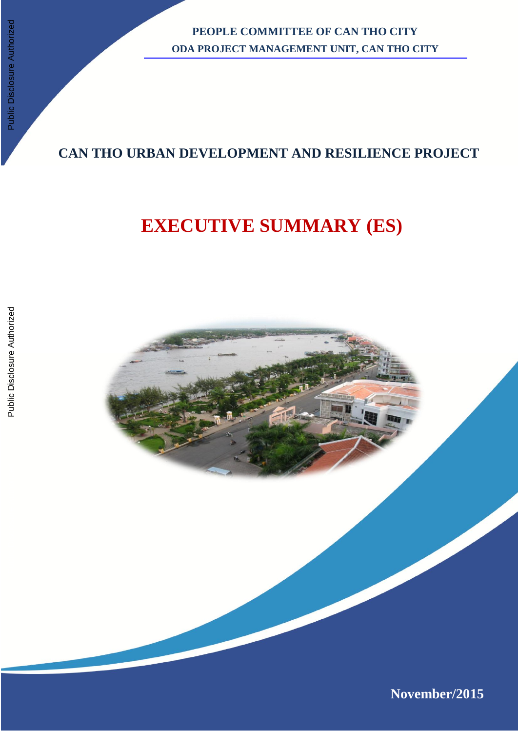**PEOPLE COMMITTEE OF CAN THO CITY ODA PROJECT MANAGEMENT UNIT, CAN THO CITY**

# **CAN THO URBAN DEVELOPMENT AND RESILIENCE PROJECT**

# **EXECUTIVE SUMMARY (ES)**

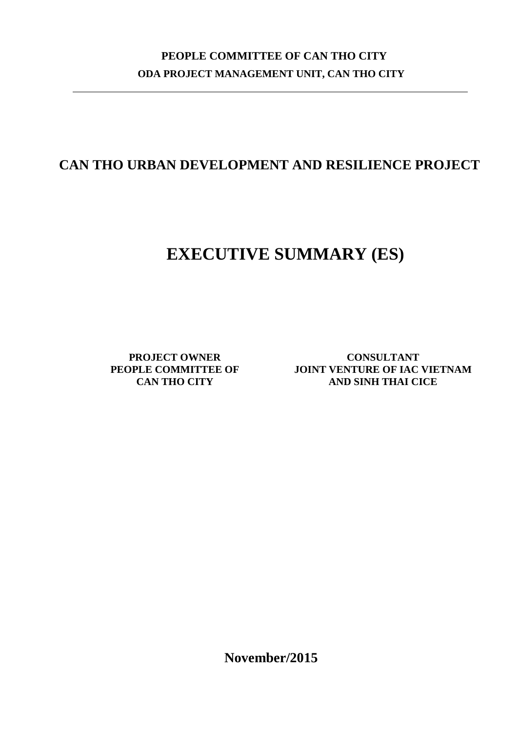# **PEOPLE COMMITTEE OF CAN THO CITY ODA PROJECT MANAGEMENT UNIT, CAN THO CITY**

# **CAN THO URBAN DEVELOPMENT AND RESILIENCE PROJECT**

# **EXECUTIVE SUMMARY (ES)**

**PROJECT OWNER PEOPLE COMMITTEE OF CAN THO CITY**

**CONSULTANT JOINT VENTURE OF IAC VIETNAM AND SINH THAI CICE**

**November/2015**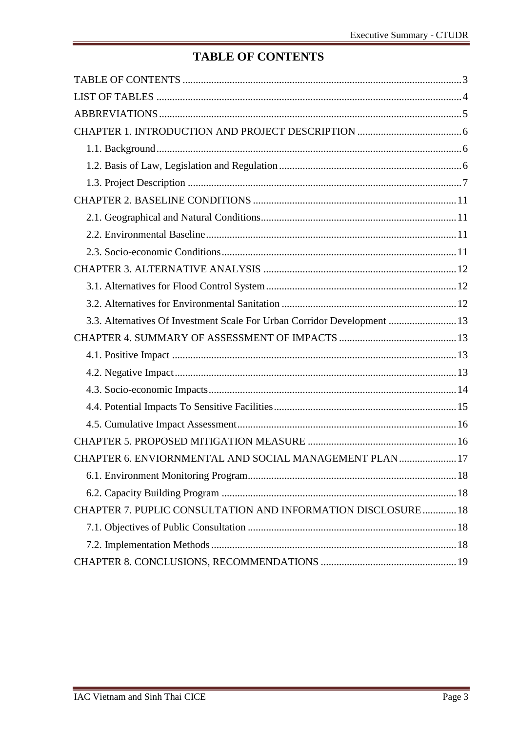# **TABLE OF CONTENTS**

<span id="page-2-0"></span>

| 3.3. Alternatives Of Investment Scale For Urban Corridor Development  13 |  |
|--------------------------------------------------------------------------|--|
|                                                                          |  |
|                                                                          |  |
|                                                                          |  |
|                                                                          |  |
|                                                                          |  |
|                                                                          |  |
|                                                                          |  |
| CHAPTER 6. ENVIORNMENTAL AND SOCIAL MANAGEMENT PLAN 17                   |  |
|                                                                          |  |
|                                                                          |  |
| CHAPTER 7. PUPLIC CONSULTATION AND INFORMATION DISCLOSURE 18             |  |
|                                                                          |  |
|                                                                          |  |
|                                                                          |  |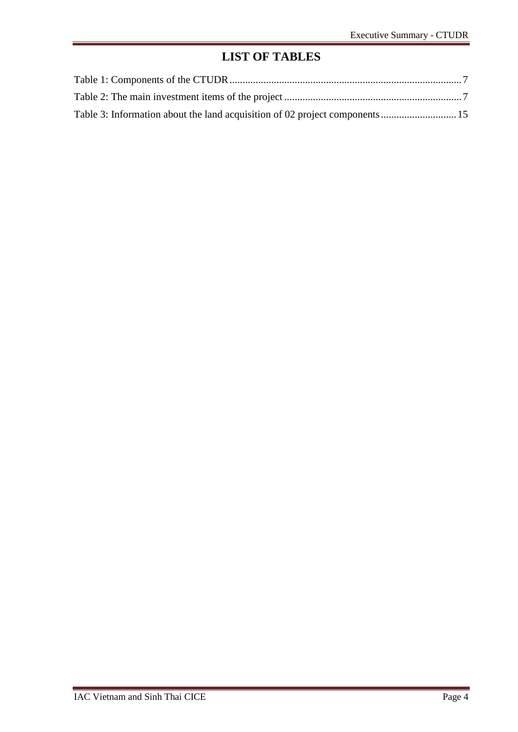# **LIST OF TABLES**

<span id="page-3-0"></span>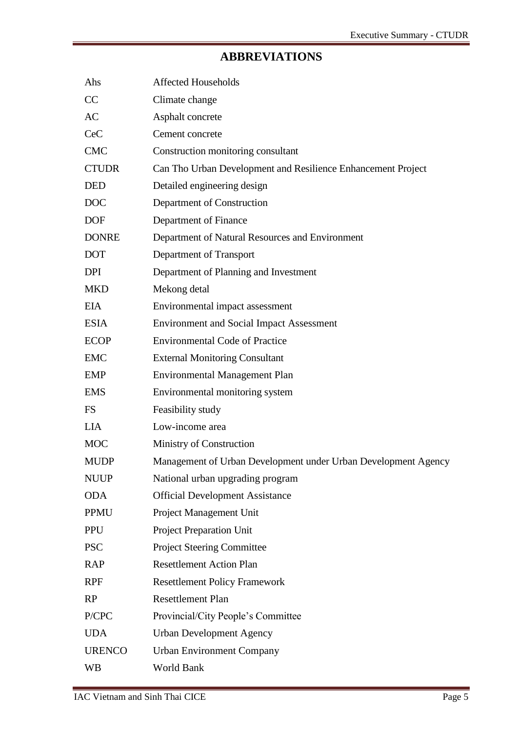# **ABBREVIATIONS**

<span id="page-4-0"></span>

| Ahs           | <b>Affected Households</b>                                     |
|---------------|----------------------------------------------------------------|
| CC            | Climate change                                                 |
| AC            | Asphalt concrete                                               |
| <b>CeC</b>    | Cement concrete                                                |
| <b>CMC</b>    | Construction monitoring consultant                             |
| <b>CTUDR</b>  | Can Tho Urban Development and Resilience Enhancement Project   |
| <b>DED</b>    | Detailed engineering design                                    |
| <b>DOC</b>    | Department of Construction                                     |
| <b>DOF</b>    | Department of Finance                                          |
| <b>DONRE</b>  | Department of Natural Resources and Environment                |
| <b>DOT</b>    | Department of Transport                                        |
| <b>DPI</b>    | Department of Planning and Investment                          |
| <b>MKD</b>    | Mekong detal                                                   |
| <b>EIA</b>    | Environmental impact assessment                                |
| <b>ESIA</b>   | <b>Environment and Social Impact Assessment</b>                |
| <b>ECOP</b>   | <b>Environmental Code of Practice</b>                          |
| <b>EMC</b>    | <b>External Monitoring Consultant</b>                          |
| <b>EMP</b>    | <b>Environmental Management Plan</b>                           |
| <b>EMS</b>    | Environmental monitoring system                                |
| <b>FS</b>     | Feasibility study                                              |
| <b>LIA</b>    | Low-income area                                                |
| <b>MOC</b>    | Ministry of Construction                                       |
| <b>MUDP</b>   | Management of Urban Development under Urban Development Agency |
| <b>NUUP</b>   | National urban upgrading program                               |
| <b>ODA</b>    | <b>Official Development Assistance</b>                         |
| <b>PPMU</b>   | Project Management Unit                                        |
| <b>PPU</b>    | <b>Project Preparation Unit</b>                                |
| <b>PSC</b>    | <b>Project Steering Committee</b>                              |
| <b>RAP</b>    | <b>Resettlement Action Plan</b>                                |
| <b>RPF</b>    | <b>Resettlement Policy Framework</b>                           |
| RP            | <b>Resettlement Plan</b>                                       |
| P/CPC         | Provincial/City People's Committee                             |
| <b>UDA</b>    | <b>Urban Development Agency</b>                                |
| <b>URENCO</b> | <b>Urban Environment Company</b>                               |
| WB            | World Bank                                                     |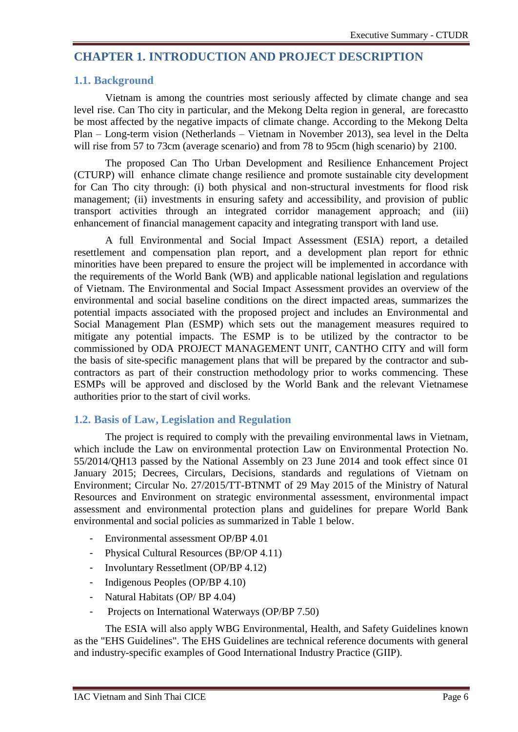# <span id="page-5-0"></span>**CHAPTER 1. INTRODUCTION AND PROJECT DESCRIPTION**

#### <span id="page-5-1"></span>**1.1. Background**

Vietnam is among the countries most seriously affected by climate change and sea level rise. Can Tho city in particular, and the Mekong Delta region in general, are forecastto be most affected by the negative impacts of climate change. According to the Mekong Delta Plan – Long-term vision (Netherlands – Vietnam in November 2013), sea level in the Delta will rise from 57 to 73cm (average scenario) and from 78 to 95cm (high scenario) by 2100.

The proposed Can Tho Urban Development and Resilience Enhancement Project (CTURP) will enhance climate change resilience and promote sustainable city development for Can Tho city through: (i) both physical and non-structural investments for flood risk management; (ii) investments in ensuring safety and accessibility, and provision of public transport activities through an integrated corridor management approach; and (iii) enhancement of financial management capacity and integrating transport with land use.

A full Environmental and Social Impact Assessment (ESIA) report, a detailed resettlement and compensation plan report, and a development plan report for ethnic minorities have been prepared to ensure the project will be implemented in accordance with the requirements of the World Bank (WB) and applicable national legislation and regulations of Vietnam. The Environmental and Social Impact Assessment provides an overview of the environmental and social baseline conditions on the direct impacted areas, summarizes the potential impacts associated with the proposed project and includes an Environmental and Social Management Plan (ESMP) which sets out the management measures required to mitigate any potential impacts. The ESMP is to be utilized by the contractor to be commissioned by ODA PROJECT MANAGEMENT UNIT, CANTHO CITY and will form the basis of site-specific management plans that will be prepared by the contractor and subcontractors as part of their construction methodology prior to works commencing. These ESMPs will be approved and disclosed by the World Bank and the relevant Vietnamese authorities prior to the start of civil works.

# <span id="page-5-2"></span>**1.2. Basis of Law, Legislation and Regulation**

The project is required to comply with the prevailing environmental laws in Vietnam, which include the Law on environmental protection Law on Environmental Protection No. 55/2014/QH13 passed by the National Assembly on 23 June 2014 and took effect since 01 January 2015; Decrees, Circulars, Decisions, standards and regulations of Vietnam on Environment; Circular No. 27/2015/TT-BTNMT of 29 May 2015 of the Ministry of Natural Resources and Environment on strategic environmental assessment, environmental impact assessment and environmental protection plans and guidelines for prepare World Bank environmental and social policies as summarized in Table 1 below.

- Environmental assessment OP/BP 4.01
- Physical Cultural Resources (BP/OP 4.11)
- Involuntary Ressetlment (OP/BP 4.12)
- Indigenous Peoples (OP/BP 4.10)
- Natural Habitats (OP/ BP 4.04)
- Projects on International Waterways (OP/BP 7.50)

The ESIA will also apply WBG Environmental, Health, and Safety Guidelines known as the "EHS Guidelines". The EHS Guidelines are technical reference documents with general and industry-specific examples of Good International Industry Practice (GIIP).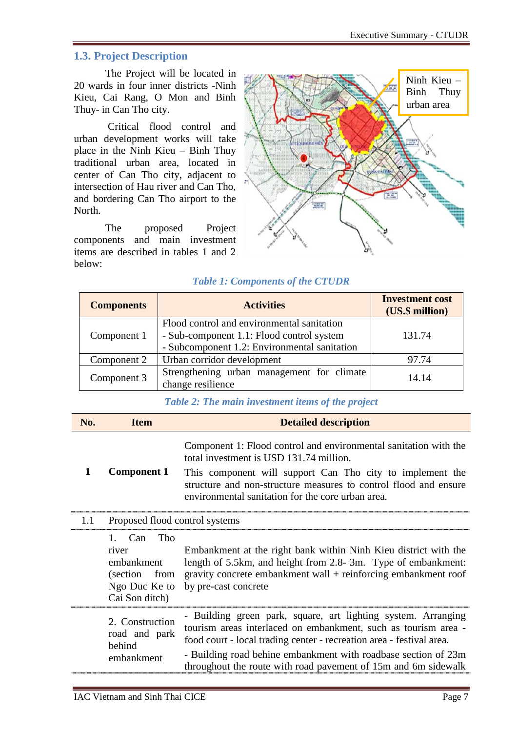# <span id="page-6-0"></span>**1.3. Project Description**

The Project will be located in 20 wards in four inner districts -Ninh Kieu, Cai Rang, O Mon and Binh Thuy- in Can Tho city.

Critical flood control and urban development works will take place in the Ninh Kieu – Binh Thuy traditional urban area, located in center of Can Tho city, adjacent to intersection of Hau river and Can Tho, and bordering Can Tho airport to the North.

The proposed Project components and main investment items are described in tables 1 and 2 below:



#### *Table 1: Components of the CTUDR*

<span id="page-6-1"></span>

| <b>Components</b> | <b>Activities</b>                                                                       | <b>Investment cost</b><br>(US.\$ million) |
|-------------------|-----------------------------------------------------------------------------------------|-------------------------------------------|
| Component 1       | Flood control and environmental sanitation<br>- Sub-component 1.1: Flood control system | 131.74                                    |
|                   | - Subcomponent 1.2: Environmental sanitation                                            |                                           |
| Component 2       | Urban corridor development                                                              | 97.74                                     |
| Component 3       | Strengthening urban management for climate<br>change resilience                         | 14.14                                     |

#### *Table 2: The main investment items of the project*

<span id="page-6-2"></span>

| No. | <b>Item</b>                                                                                | <b>Detailed description</b>                                                                                                                                                                                                                                                                                                                 |  |  |  |  |
|-----|--------------------------------------------------------------------------------------------|---------------------------------------------------------------------------------------------------------------------------------------------------------------------------------------------------------------------------------------------------------------------------------------------------------------------------------------------|--|--|--|--|
| 1   | <b>Component 1</b>                                                                         | Component 1: Flood control and environmental sanitation with the<br>total investment is USD 131.74 million.<br>This component will support Can Tho city to implement the<br>structure and non-structure measures to control flood and ensure<br>environmental sanitation for the core urban area.                                           |  |  |  |  |
| 1.1 | Proposed flood control systems                                                             |                                                                                                                                                                                                                                                                                                                                             |  |  |  |  |
|     | Tho<br>1. $Can$<br>river<br>embankment<br>(section from<br>Ngo Duc Ke to<br>Cai Son ditch) | Embankment at the right bank within Ninh Kieu district with the<br>length of 5.5km, and height from 2.8-3m. Type of embankment:<br>gravity concrete embankment wall $+$ reinforcing embankment roof<br>by pre-cast concrete                                                                                                                 |  |  |  |  |
|     | 2. Construction<br>road and park<br>behind<br>embankment                                   | - Building green park, square, art lighting system. Arranging<br>tourism areas interlaced on embankment, such as tourism area -<br>food court - local trading center - recreation area - festival area.<br>- Building road behine embankment with roadbase section of 23m<br>throughout the route with road pavement of 15m and 6m sidewalk |  |  |  |  |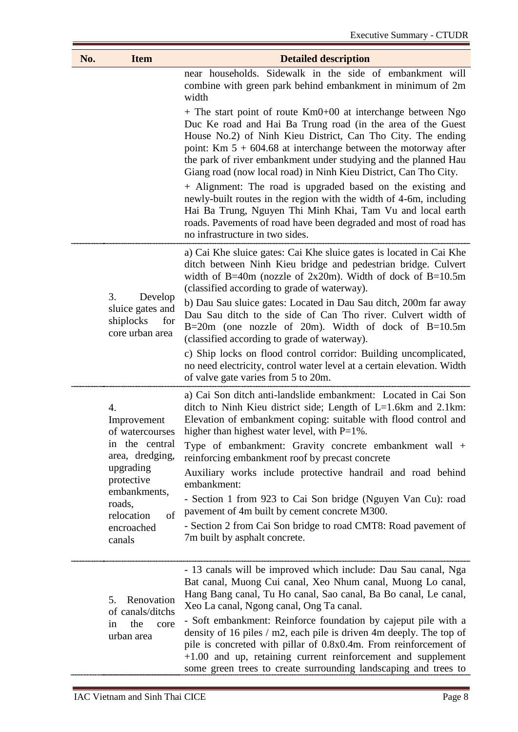| No.             | <b>Item</b>                                                        | <b>Detailed description</b>                                                                                                                                                                                                                                                                                                                                                                                                                                                                                                                                                                                                                                                    |  |  |  |
|-----------------|--------------------------------------------------------------------|--------------------------------------------------------------------------------------------------------------------------------------------------------------------------------------------------------------------------------------------------------------------------------------------------------------------------------------------------------------------------------------------------------------------------------------------------------------------------------------------------------------------------------------------------------------------------------------------------------------------------------------------------------------------------------|--|--|--|
|                 |                                                                    | near households. Sidewalk in the side of embankment will<br>combine with green park behind embankment in minimum of 2m<br>width                                                                                                                                                                                                                                                                                                                                                                                                                                                                                                                                                |  |  |  |
|                 |                                                                    | $+$ The start point of route Km0+00 at interchange between Ngo<br>Duc Ke road and Hai Ba Trung road (in the area of the Guest<br>House No.2) of Ninh Kieu District, Can Tho City. The ending<br>point: Km $5 + 604.68$ at interchange between the motorway after<br>the park of river embankment under studying and the planned Hau<br>Giang road (now local road) in Ninh Kieu District, Can Tho City.<br>+ Alignment: The road is upgraded based on the existing and<br>newly-built routes in the region with the width of 4-6m, including<br>Hai Ba Trung, Nguyen Thi Minh Khai, Tam Vu and local earth<br>roads. Pavements of road have been degraded and most of road has |  |  |  |
|                 |                                                                    | no infrastructure in two sides.                                                                                                                                                                                                                                                                                                                                                                                                                                                                                                                                                                                                                                                |  |  |  |
|                 |                                                                    | a) Cai Khe sluice gates: Cai Khe sluice gates is located in Cai Khe<br>ditch between Ninh Kieu bridge and pedestrian bridge. Culvert<br>width of B=40m (nozzle of $2x20m$ ). Width of dock of B=10.5m<br>(classified according to grade of waterway).                                                                                                                                                                                                                                                                                                                                                                                                                          |  |  |  |
| 3.<br>shiplocks | Develop<br>sluice gates and<br>for<br>core urban area              | b) Dau Sau sluice gates: Located in Dau Sau ditch, 200m far away<br>Dau Sau ditch to the side of Can Tho river. Culvert width of<br>B=20m (one nozzle of 20m). Width of dock of B=10.5m<br>(classified according to grade of waterway).                                                                                                                                                                                                                                                                                                                                                                                                                                        |  |  |  |
|                 |                                                                    | c) Ship locks on flood control corridor: Building uncomplicated,<br>no need electricity, control water level at a certain elevation. Width<br>of valve gate varies from 5 to 20m.                                                                                                                                                                                                                                                                                                                                                                                                                                                                                              |  |  |  |
|                 | 4.<br>Improvement<br>of watercourses                               | a) Cai Son ditch anti-landslide embankment: Located in Cai Son<br>ditch to Ninh Kieu district side; Length of L=1.6km and 2.1km:<br>Elevation of embankment coping: suitable with flood control and<br>higher than highest water level, with $P=1\%$ .                                                                                                                                                                                                                                                                                                                                                                                                                         |  |  |  |
|                 | in the central<br>area, dredging,                                  | Type of embankment: Gravity concrete embankment wall +<br>reinforcing embankment roof by precast concrete                                                                                                                                                                                                                                                                                                                                                                                                                                                                                                                                                                      |  |  |  |
|                 | upgrading<br>protective                                            | Auxiliary works include protective handrail and road behind<br>embankment:                                                                                                                                                                                                                                                                                                                                                                                                                                                                                                                                                                                                     |  |  |  |
|                 | embankments,<br>roads,<br>of<br>relocation<br>encroached<br>canals | - Section 1 from 923 to Cai Son bridge (Nguyen Van Cu): road<br>pavement of 4m built by cement concrete M300.                                                                                                                                                                                                                                                                                                                                                                                                                                                                                                                                                                  |  |  |  |
|                 |                                                                    | - Section 2 from Cai Son bridge to road CMT8: Road pavement of<br>7m built by asphalt concrete.                                                                                                                                                                                                                                                                                                                                                                                                                                                                                                                                                                                |  |  |  |
|                 | Renovation<br>5.<br>of canals/ditchs                               | - 13 canals will be improved which include: Dau Sau canal, Nga<br>Bat canal, Muong Cui canal, Xeo Nhum canal, Muong Lo canal,<br>Hang Bang canal, Tu Ho canal, Sao canal, Ba Bo canal, Le canal,<br>Xeo La canal, Ngong canal, Ong Ta canal.                                                                                                                                                                                                                                                                                                                                                                                                                                   |  |  |  |
|                 | the<br>in<br>core<br>urban area                                    | - Soft embankment: Reinforce foundation by cajeput pile with a<br>density of 16 piles $/m2$ , each pile is driven 4m deeply. The top of<br>pile is concreted with pillar of 0.8x0.4m. From reinforcement of<br>$+1.00$ and up, retaining current reinforcement and supplement<br>some green trees to create surrounding landscaping and trees to                                                                                                                                                                                                                                                                                                                               |  |  |  |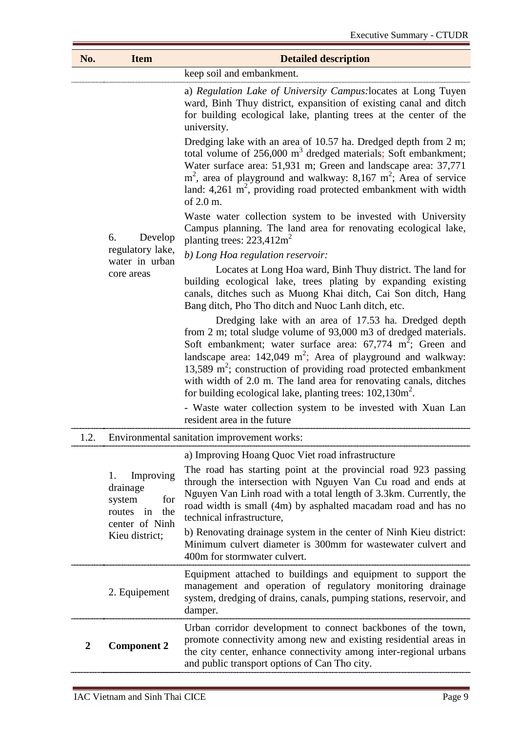| No.                                                                                                                                                                                                                                                                                            | <b>Item</b>                                                                           | <b>Detailed description</b>                                                                                                                                                                                                                                                                                                                                                                                                                                                                                                                                 |  |  |  |  |
|------------------------------------------------------------------------------------------------------------------------------------------------------------------------------------------------------------------------------------------------------------------------------------------------|---------------------------------------------------------------------------------------|-------------------------------------------------------------------------------------------------------------------------------------------------------------------------------------------------------------------------------------------------------------------------------------------------------------------------------------------------------------------------------------------------------------------------------------------------------------------------------------------------------------------------------------------------------------|--|--|--|--|
|                                                                                                                                                                                                                                                                                                | keep soil and embankment.                                                             |                                                                                                                                                                                                                                                                                                                                                                                                                                                                                                                                                             |  |  |  |  |
|                                                                                                                                                                                                                                                                                                | Develop<br>6.                                                                         | a) Regulation Lake of University Campus: locates at Long Tuyen<br>ward, Binh Thuy district, expansition of existing canal and ditch<br>for building ecological lake, planting trees at the center of the<br>university.                                                                                                                                                                                                                                                                                                                                     |  |  |  |  |
|                                                                                                                                                                                                                                                                                                |                                                                                       | Dredging lake with an area of 10.57 ha. Dredged depth from 2 m;<br>total volume of $256,000 \text{ m}^3$ dredged materials; Soft embankment;<br>Water surface area: 51,931 m; Green and landscape area: 37,771<br>$m2$ , area of playground and walkway: 8,167 m <sup>2</sup> ; Area of service<br>land: 4,261 $m^2$ , providing road protected embankment with width<br>of 2.0 m.                                                                                                                                                                          |  |  |  |  |
|                                                                                                                                                                                                                                                                                                |                                                                                       | Waste water collection system to be invested with University<br>Campus planning. The land area for renovating ecological lake,<br>planting trees: $223,412m^2$                                                                                                                                                                                                                                                                                                                                                                                              |  |  |  |  |
|                                                                                                                                                                                                                                                                                                | regulatory lake,<br>water in urban                                                    | b) Long Hoa regulation reservoir:                                                                                                                                                                                                                                                                                                                                                                                                                                                                                                                           |  |  |  |  |
|                                                                                                                                                                                                                                                                                                | core areas                                                                            | Locates at Long Hoa ward, Binh Thuy district. The land for<br>building ecological lake, trees plating by expanding existing<br>canals, ditches such as Muong Khai ditch, Cai Son ditch, Hang<br>Bang ditch, Pho Tho ditch and Nuoc Lanh ditch, etc.                                                                                                                                                                                                                                                                                                         |  |  |  |  |
|                                                                                                                                                                                                                                                                                                |                                                                                       | Dredging lake with an area of 17.53 ha. Dredged depth<br>from 2 m; total sludge volume of 93,000 m3 of dredged materials.<br>Soft embankment; water surface area: $67,774$ m <sup>2</sup> ; Green and<br>landscape area: $142,049 \text{ m}^2$ ; Area of playground and walkway:<br>13,589 $m^2$ ; construction of providing road protected embankment<br>with width of 2.0 m. The land area for renovating canals, ditches<br>for building ecological lake, planting trees: $102,130m^2$ .<br>- Waste water collection system to be invested with Xuan Lan |  |  |  |  |
|                                                                                                                                                                                                                                                                                                |                                                                                       | resident area in the future                                                                                                                                                                                                                                                                                                                                                                                                                                                                                                                                 |  |  |  |  |
| 1.2.                                                                                                                                                                                                                                                                                           |                                                                                       | Environmental sanitation improvement works:                                                                                                                                                                                                                                                                                                                                                                                                                                                                                                                 |  |  |  |  |
|                                                                                                                                                                                                                                                                                                |                                                                                       | a) Improving Hoang Quoc Viet road infrastructure                                                                                                                                                                                                                                                                                                                                                                                                                                                                                                            |  |  |  |  |
|                                                                                                                                                                                                                                                                                                | Improving<br>1.<br>drainage<br>for<br>system<br>the<br>in<br>routes<br>center of Ninh | The road has starting point at the provincial road 923 passing<br>through the intersection with Nguyen Van Cu road and ends at<br>Nguyen Van Linh road with a total length of 3.3km. Currently, the<br>road width is small (4m) by asphalted macadam road and has no<br>technical infrastructure,                                                                                                                                                                                                                                                           |  |  |  |  |
|                                                                                                                                                                                                                                                                                                | Kieu district;                                                                        | b) Renovating drainage system in the center of Ninh Kieu district:<br>Minimum culvert diameter is 300mm for wastewater culvert and<br>400m for stormwater culvert.                                                                                                                                                                                                                                                                                                                                                                                          |  |  |  |  |
|                                                                                                                                                                                                                                                                                                | 2. Equipement                                                                         | Equipment attached to buildings and equipment to support the<br>management and operation of regulatory monitoring drainage<br>system, dredging of drains, canals, pumping stations, reservoir, and<br>damper.                                                                                                                                                                                                                                                                                                                                               |  |  |  |  |
| Urban corridor development to connect backbones of the town,<br>promote connectivity among new and existing residential areas in<br>$\overline{2}$<br><b>Component 2</b><br>the city center, enhance connectivity among inter-regional urbans<br>and public transport options of Can Tho city. |                                                                                       |                                                                                                                                                                                                                                                                                                                                                                                                                                                                                                                                                             |  |  |  |  |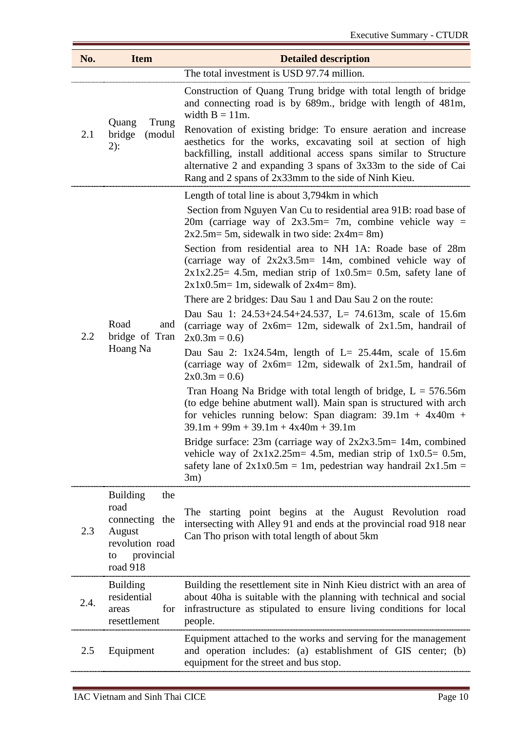| The total investment is USD 97.74 million.<br>Construction of Quang Trung bridge with total length of bridge<br>and connecting road is by 689m., bridge with length of 481m,<br>width $B = 11m$ .<br>Trung<br>Quang<br>Renovation of existing bridge: To ensure aeration and increase<br>bridge<br>2.1<br>(modul<br>aesthetics for the works, excavating soil at section of high<br>$2)$ :<br>backfilling, install additional access spans similar to Structure<br>alternative 2 and expanding 3 spans of 3x33m to the side of Cai<br>Rang and 2 spans of 2x33mm to the side of Ninh Kieu.<br>Length of total line is about 3,794km in which<br>Section from Nguyen Van Cu to residential area 91B: road base of<br>20m (carriage way of $2x3.5m = 7m$ , combine vehicle way =<br>$2x2.5m = 5m$ , sidewalk in two side: $2x4m = 8m$ )<br>Section from residential area to NH 1A: Roade base of 28m<br>(carriage way of $2x2x3.5m=14m$ , combined vehicle way of<br>$2x1x2.25 = 4.5m$ , median strip of $1x0.5m = 0.5m$ , safety lane of<br>$2x1x0.5m=1m$ , sidewalk of $2x4m=8m$ ).<br>There are 2 bridges: Dau Sau 1 and Dau Sau 2 on the route:<br>Dau Sau 1: $24.53+24.54+24.537$ , L= 74.613m, scale of 15.6m<br>Road<br>and<br>(carriage way of $2x6m = 12m$ , sidewalk of $2x1.5m$ , handrail of<br>2.2<br>bridge of Tran<br>$2x0.3m = 0.6$<br>Hoang Na<br>Dau Sau 2: $1x24.54m$ , length of L= 25.44m, scale of 15.6m<br>(carriage way of $2x6m = 12m$ , sidewalk of $2x1.5m$ , handrail of<br>$2x0.3m = 0.6$<br>Tran Hoang Na Bridge with total length of bridge, $L = 576.56m$<br>(to edge behine abutment wall). Main span is structured with arch<br>for vehicles running below: Span diagram: $39.1m + 4x40m +$<br>$39.1m + 99m + 39.1m + 4x40m + 39.1m$<br>vehicle way of $2x1x2.25m=4.5m$ , median strip of $1x0.5=0.5m$ ,<br>safety lane of $2x1x0.5m = 1m$ , pedestrian way handrail $2x1.5m =$<br>3m)<br><b>Building</b><br>the<br>road<br>The starting point begins at the August Revolution road<br>connecting the<br>intersecting with Alley 91 and ends at the provincial road 918 near<br>2.3<br>August<br>Can Tho prison with total length of about 5km<br>revolution road<br>provincial<br>to<br>road 918<br>Building the resettlement site in Ninh Kieu district with an area of<br><b>Building</b><br>residential<br>about 40ha is suitable with the planning with technical and social<br>2.4.<br>for<br>infrastructure as stipulated to ensure living conditions for local<br>areas<br>resettlement<br>people.<br>Equipment attached to the works and serving for the management<br>and operation includes: (a) establishment of GIS center; (b)<br>2.5<br>Equipment<br>equipment for the street and bus stop. | No. | <b>Item</b> | <b>Detailed description</b> |  |  |  |  |
|--------------------------------------------------------------------------------------------------------------------------------------------------------------------------------------------------------------------------------------------------------------------------------------------------------------------------------------------------------------------------------------------------------------------------------------------------------------------------------------------------------------------------------------------------------------------------------------------------------------------------------------------------------------------------------------------------------------------------------------------------------------------------------------------------------------------------------------------------------------------------------------------------------------------------------------------------------------------------------------------------------------------------------------------------------------------------------------------------------------------------------------------------------------------------------------------------------------------------------------------------------------------------------------------------------------------------------------------------------------------------------------------------------------------------------------------------------------------------------------------------------------------------------------------------------------------------------------------------------------------------------------------------------------------------------------------------------------------------------------------------------------------------------------------------------------------------------------------------------------------------------------------------------------------------------------------------------------------------------------------------------------------------------------------------------------------------------------------------------------------------------------------------------------------------------------------------------------------------------------------------------------------------------------------------------------------------------------------------------------------------------------------------------------------------------------------------------------------------------------------------------------------------------------------------------------------------------------------------------------------------------------------------------------------------------------------------------------------------------------------|-----|-------------|-----------------------------|--|--|--|--|
|                                                                                                                                                                                                                                                                                                                                                                                                                                                                                                                                                                                                                                                                                                                                                                                                                                                                                                                                                                                                                                                                                                                                                                                                                                                                                                                                                                                                                                                                                                                                                                                                                                                                                                                                                                                                                                                                                                                                                                                                                                                                                                                                                                                                                                                                                                                                                                                                                                                                                                                                                                                                                                                                                                                                            |     |             |                             |  |  |  |  |
|                                                                                                                                                                                                                                                                                                                                                                                                                                                                                                                                                                                                                                                                                                                                                                                                                                                                                                                                                                                                                                                                                                                                                                                                                                                                                                                                                                                                                                                                                                                                                                                                                                                                                                                                                                                                                                                                                                                                                                                                                                                                                                                                                                                                                                                                                                                                                                                                                                                                                                                                                                                                                                                                                                                                            |     |             |                             |  |  |  |  |
| Bridge surface: $23m$ (carriage way of $2x2x3.5m = 14m$ , combined                                                                                                                                                                                                                                                                                                                                                                                                                                                                                                                                                                                                                                                                                                                                                                                                                                                                                                                                                                                                                                                                                                                                                                                                                                                                                                                                                                                                                                                                                                                                                                                                                                                                                                                                                                                                                                                                                                                                                                                                                                                                                                                                                                                                                                                                                                                                                                                                                                                                                                                                                                                                                                                                         |     |             |                             |  |  |  |  |
|                                                                                                                                                                                                                                                                                                                                                                                                                                                                                                                                                                                                                                                                                                                                                                                                                                                                                                                                                                                                                                                                                                                                                                                                                                                                                                                                                                                                                                                                                                                                                                                                                                                                                                                                                                                                                                                                                                                                                                                                                                                                                                                                                                                                                                                                                                                                                                                                                                                                                                                                                                                                                                                                                                                                            |     |             |                             |  |  |  |  |
|                                                                                                                                                                                                                                                                                                                                                                                                                                                                                                                                                                                                                                                                                                                                                                                                                                                                                                                                                                                                                                                                                                                                                                                                                                                                                                                                                                                                                                                                                                                                                                                                                                                                                                                                                                                                                                                                                                                                                                                                                                                                                                                                                                                                                                                                                                                                                                                                                                                                                                                                                                                                                                                                                                                                            |     |             |                             |  |  |  |  |
|                                                                                                                                                                                                                                                                                                                                                                                                                                                                                                                                                                                                                                                                                                                                                                                                                                                                                                                                                                                                                                                                                                                                                                                                                                                                                                                                                                                                                                                                                                                                                                                                                                                                                                                                                                                                                                                                                                                                                                                                                                                                                                                                                                                                                                                                                                                                                                                                                                                                                                                                                                                                                                                                                                                                            |     |             |                             |  |  |  |  |
|                                                                                                                                                                                                                                                                                                                                                                                                                                                                                                                                                                                                                                                                                                                                                                                                                                                                                                                                                                                                                                                                                                                                                                                                                                                                                                                                                                                                                                                                                                                                                                                                                                                                                                                                                                                                                                                                                                                                                                                                                                                                                                                                                                                                                                                                                                                                                                                                                                                                                                                                                                                                                                                                                                                                            |     |             |                             |  |  |  |  |
|                                                                                                                                                                                                                                                                                                                                                                                                                                                                                                                                                                                                                                                                                                                                                                                                                                                                                                                                                                                                                                                                                                                                                                                                                                                                                                                                                                                                                                                                                                                                                                                                                                                                                                                                                                                                                                                                                                                                                                                                                                                                                                                                                                                                                                                                                                                                                                                                                                                                                                                                                                                                                                                                                                                                            |     |             |                             |  |  |  |  |
|                                                                                                                                                                                                                                                                                                                                                                                                                                                                                                                                                                                                                                                                                                                                                                                                                                                                                                                                                                                                                                                                                                                                                                                                                                                                                                                                                                                                                                                                                                                                                                                                                                                                                                                                                                                                                                                                                                                                                                                                                                                                                                                                                                                                                                                                                                                                                                                                                                                                                                                                                                                                                                                                                                                                            |     |             |                             |  |  |  |  |
|                                                                                                                                                                                                                                                                                                                                                                                                                                                                                                                                                                                                                                                                                                                                                                                                                                                                                                                                                                                                                                                                                                                                                                                                                                                                                                                                                                                                                                                                                                                                                                                                                                                                                                                                                                                                                                                                                                                                                                                                                                                                                                                                                                                                                                                                                                                                                                                                                                                                                                                                                                                                                                                                                                                                            |     |             |                             |  |  |  |  |
|                                                                                                                                                                                                                                                                                                                                                                                                                                                                                                                                                                                                                                                                                                                                                                                                                                                                                                                                                                                                                                                                                                                                                                                                                                                                                                                                                                                                                                                                                                                                                                                                                                                                                                                                                                                                                                                                                                                                                                                                                                                                                                                                                                                                                                                                                                                                                                                                                                                                                                                                                                                                                                                                                                                                            |     |             |                             |  |  |  |  |
|                                                                                                                                                                                                                                                                                                                                                                                                                                                                                                                                                                                                                                                                                                                                                                                                                                                                                                                                                                                                                                                                                                                                                                                                                                                                                                                                                                                                                                                                                                                                                                                                                                                                                                                                                                                                                                                                                                                                                                                                                                                                                                                                                                                                                                                                                                                                                                                                                                                                                                                                                                                                                                                                                                                                            |     |             |                             |  |  |  |  |
|                                                                                                                                                                                                                                                                                                                                                                                                                                                                                                                                                                                                                                                                                                                                                                                                                                                                                                                                                                                                                                                                                                                                                                                                                                                                                                                                                                                                                                                                                                                                                                                                                                                                                                                                                                                                                                                                                                                                                                                                                                                                                                                                                                                                                                                                                                                                                                                                                                                                                                                                                                                                                                                                                                                                            |     |             |                             |  |  |  |  |
|                                                                                                                                                                                                                                                                                                                                                                                                                                                                                                                                                                                                                                                                                                                                                                                                                                                                                                                                                                                                                                                                                                                                                                                                                                                                                                                                                                                                                                                                                                                                                                                                                                                                                                                                                                                                                                                                                                                                                                                                                                                                                                                                                                                                                                                                                                                                                                                                                                                                                                                                                                                                                                                                                                                                            |     |             |                             |  |  |  |  |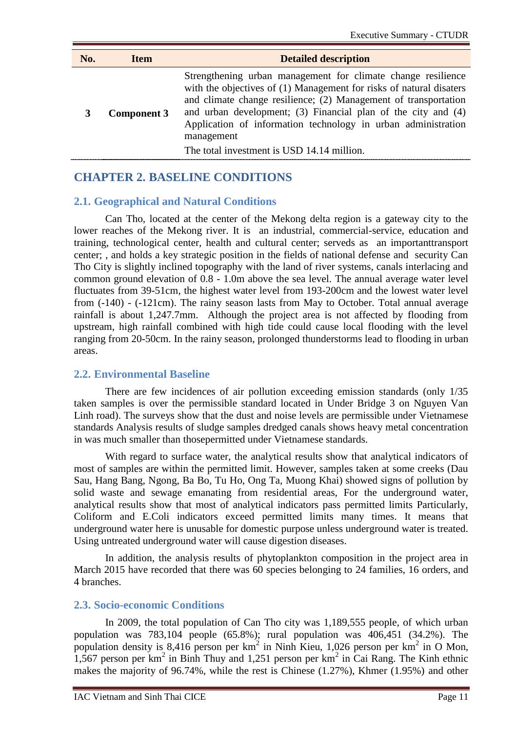| No. | <b>Item</b>        | <b>Detailed description</b>                                                                                                                                                                                                                                                                                                                                                                          |
|-----|--------------------|------------------------------------------------------------------------------------------------------------------------------------------------------------------------------------------------------------------------------------------------------------------------------------------------------------------------------------------------------------------------------------------------------|
|     | <b>Component 3</b> | Strengthening urban management for climate change resilience<br>with the objectives of (1) Management for risks of natural disaters<br>and climate change resilience; (2) Management of transportation<br>and urban development; (3) Financial plan of the city and (4)<br>Application of information technology in urban administration<br>management<br>The total investment is USD 14.14 million. |

# <span id="page-10-0"></span>**CHAPTER 2. BASELINE CONDITIONS**

#### <span id="page-10-1"></span>**2.1. Geographical and Natural Conditions**

Can Tho, located at the center of the Mekong delta region is a gateway city to the lower reaches of the Mekong river. It is an industrial, commercial-service, education and training, technological center, health and cultural center; serveds as an importanttransport center; , and holds a key strategic position in the fields of national defense and security Can Tho City is slightly inclined topography with the land of river systems, canals interlacing and common ground elevation of 0.8 - 1.0m above the sea level. The annual average water level fluctuates from 39-51cm, the highest water level from 193-200cm and the lowest water level from (-140) - (-121cm). The rainy season lasts from May to October. Total annual average rainfall is about 1,247.7mm. Although the project area is not affected by flooding from upstream, high rainfall combined with high tide could cause local flooding with the level ranging from 20-50cm. In the rainy season, prolonged thunderstorms lead to flooding in urban areas.

#### <span id="page-10-2"></span>**2.2. Environmental Baseline**

There are few incidences of air pollution exceeding emission standards (only 1/35 taken samples is over the permissible standard located in Under Bridge 3 on Nguyen Van Linh road). The surveys show that the dust and noise levels are permissible under Vietnamese standards Analysis results of sludge samples dredged canals shows heavy metal concentration in was much smaller than thosepermitted under Vietnamese standards.

With regard to surface water, the analytical results show that analytical indicators of most of samples are within the permitted limit. However, samples taken at some creeks (Dau Sau, Hang Bang, Ngong, Ba Bo, Tu Ho, Ong Ta, Muong Khai) showed signs of pollution by solid waste and sewage emanating from residential areas, For the underground water, analytical results show that most of analytical indicators pass permitted limits Particularly, Coliform and E.Coli indicators exceed permitted limits many times. It means that underground water here is unusable for domestic purpose unless underground water is treated. Using untreated underground water will cause digestion diseases.

In addition, the analysis results of phytoplankton composition in the project area in March 2015 have recorded that there was 60 species belonging to 24 families, 16 orders, and 4 branches.

#### <span id="page-10-3"></span>**2.3. Socio-economic Conditions**

In 2009, the total population of Can Tho city was 1,189,555 people, of which urban population was 783,104 people (65.8%); rural population was 406,451 (34.2%). The population density is 8,416 person per  $km^2$  in Ninh Kieu, 1,026 person per  $km^2$  in O Mon, 1,567 person per  $km^2$  in Binh Thuy and 1,251 person per  $km^2$  in Cai Rang. The Kinh ethnic makes the majority of 96.74%, while the rest is Chinese (1.27%), Khmer (1.95%) and other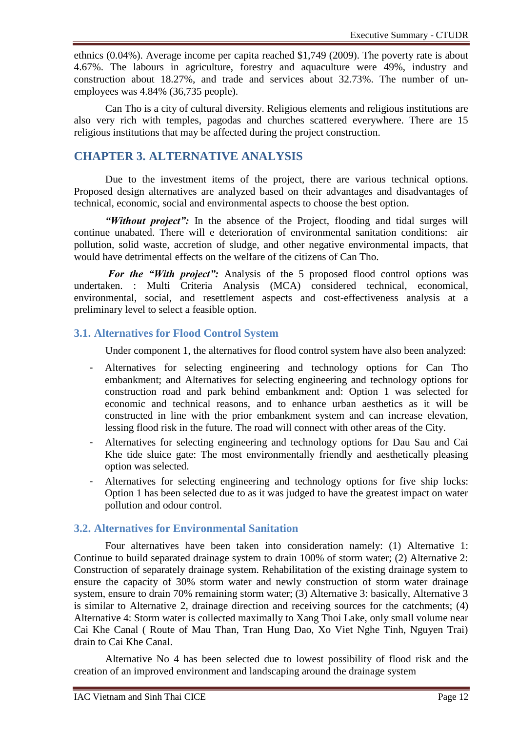ethnics (0.04%). Average income per capita reached \$1,749 (2009). The poverty rate is about 4.67%. The labours in agriculture, forestry and aquaculture were 49%, industry and construction about 18.27%, and trade and services about 32.73%. The number of unemployees was 4.84% (36,735 people).

Can Tho is a city of cultural diversity. Religious elements and religious institutions are also very rich with temples, pagodas and churches scattered everywhere. There are 15 religious institutions that may be affected during the project construction.

# <span id="page-11-0"></span>**CHAPTER 3. ALTERNATIVE ANALYSIS**

Due to the investment items of the project, there are various technical options. Proposed design alternatives are analyzed based on their advantages and disadvantages of technical, economic, social and environmental aspects to choose the best option.

*"Without project":* In the absence of the Project, flooding and tidal surges will continue unabated. There will e deterioration of environmental sanitation conditions: air pollution, solid waste, accretion of sludge, and other negative environmental impacts, that would have detrimental effects on the welfare of the citizens of Can Tho.

*For the "With project":* Analysis of the 5 proposed flood control options was undertaken. : Multi Criteria Analysis (MCA) considered technical, economical, environmental, social, and resettlement aspects and cost-effectiveness analysis at a preliminary level to select a feasible option.

# <span id="page-11-1"></span>**3.1. Alternatives for Flood Control System**

Under component 1, the alternatives for flood control system have also been analyzed:

- Alternatives for selecting engineering and technology options for Can Tho embankment; and Alternatives for selecting engineering and technology options for construction road and park behind embankment and: Option 1 was selected for economic and technical reasons, and to enhance urban aesthetics as it will be constructed in line with the prior embankment system and can increase elevation, lessing flood risk in the future. The road will connect with other areas of the City.
- Alternatives for selecting engineering and technology options for Dau Sau and Cai Khe tide sluice gate: The most environmentally friendly and aesthetically pleasing option was selected.
- Alternatives for selecting engineering and technology options for five ship locks: Option 1 has been selected due to as it was judged to have the greatest impact on water pollution and odour control.

### <span id="page-11-2"></span>**3.2. Alternatives for Environmental Sanitation**

Four alternatives have been taken into consideration namely: (1) Alternative 1: Continue to build separated drainage system to drain 100% of storm water; (2) Alternative 2: Construction of separately drainage system. Rehabilitation of the existing drainage system to ensure the capacity of 30% storm water and newly construction of storm water drainage system, ensure to drain 70% remaining storm water; (3) Alternative 3: basically, Alternative 3 is similar to Alternative 2, drainage direction and receiving sources for the catchments; (4) Alternative 4: Storm water is collected maximally to Xang Thoi Lake, only small volume near Cai Khe Canal ( Route of Mau Than, Tran Hung Dao, Xo Viet Nghe Tinh, Nguyen Trai) drain to Cai Khe Canal.

Alternative No 4 has been selected due to lowest possibility of flood risk and the creation of an improved environment and landscaping around the drainage system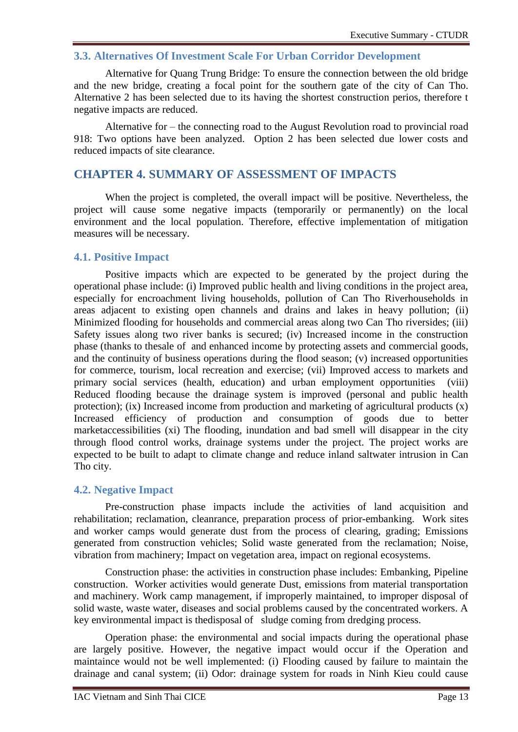### <span id="page-12-0"></span>**3.3. Alternatives Of Investment Scale For Urban Corridor Development**

Alternative for Quang Trung Bridge: To ensure the connection between the old bridge and the new bridge, creating a focal point for the southern gate of the city of Can Tho. Alternative 2 has been selected due to its having the shortest construction perios, therefore t negative impacts are reduced.

Alternative for – the connecting road to the August Revolution road to provincial road 918: Two options have been analyzed. Option 2 has been selected due lower costs and reduced impacts of site clearance.

# <span id="page-12-1"></span>**CHAPTER 4. SUMMARY OF ASSESSMENT OF IMPACTS**

When the project is completed, the overall impact will be positive. Nevertheless, the project will cause some negative impacts (temporarily or permanently) on the local environment and the local population. Therefore, effective implementation of mitigation measures will be necessary.

#### <span id="page-12-2"></span>**4.1. Positive Impact**

Positive impacts which are expected to be generated by the project during the operational phase include: (i) Improved public health and living conditions in the project area, especially for encroachment living households, pollution of Can Tho Riverhouseholds in areas adjacent to existing open channels and drains and lakes in heavy pollution; (ii) Minimized flooding for households and commercial areas along two Can Tho riversides; (iii) Safety issues along two river banks is secured; (iv) Increased income in the construction phase (thanks to thesale of and enhanced income by protecting assets and commercial goods, and the continuity of business operations during the flood season; (v) increased opportunities for commerce, tourism, local recreation and exercise; (vii) Improved access to markets and primary social services (health, education) and urban employment opportunities (viii) Reduced flooding because the drainage system is improved (personal and public health protection); (ix) Increased income from production and marketing of agricultural products (x) Increased efficiency of production and consumption of goods due to better marketaccessibilities (xi) The flooding, inundation and bad smell will disappear in the city through flood control works, drainage systems under the project. The project works are expected to be built to adapt to climate change and reduce inland saltwater intrusion in Can Tho city.

#### <span id="page-12-3"></span>**4.2. Negative Impact**

Pre-construction phase impacts include the activities of land acquisition and rehabilitation; reclamation, cleanrance, preparation process of prior-embanking. Work sites and worker camps would generate dust from the process of clearing, grading; Emissions generated from construction vehicles; Solid waste generated from the reclamation; Noise, vibration from machinery; Impact on vegetation area, impact on regional ecosystems.

Construction phase: the activities in construction phase includes: Embanking, Pipeline construction. Worker activities would generate Dust, emissions from material transportation and machinery. Work camp management, if improperly maintained, to improper disposal of solid waste, waste water, diseases and social problems caused by the concentrated workers. A key environmental impact is thedisposal of sludge coming from dredging process.

Operation phase: the environmental and social impacts during the operational phase are largely positive. However, the negative impact would occur if the Operation and maintaince would not be well implemented: (i) Flooding caused by failure to maintain the drainage and canal system; (ii) Odor: drainage system for roads in Ninh Kieu could cause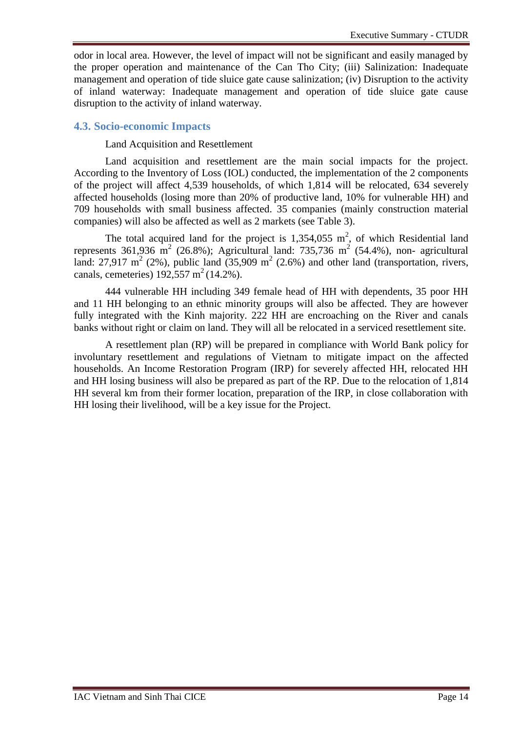odor in local area. However, the level of impact will not be significant and easily managed by the proper operation and maintenance of the Can Tho City; (iii) Salinization: Inadequate management and operation of tide sluice gate cause salinization; (iv) Disruption to the activity of inland waterway: Inadequate management and operation of tide sluice gate cause disruption to the activity of inland waterway.

#### <span id="page-13-0"></span>**4.3. Socio-economic Impacts**

#### Land Acquisition and Resettlement

Land acquisition and resettlement are the main social impacts for the project. According to the Inventory of Loss (IOL) conducted, the implementation of the 2 components of the project will affect 4,539 households, of which 1,814 will be relocated, 634 severely affected households (losing more than 20% of productive land, 10% for vulnerable HH) and 709 households with small business affected. 35 companies (mainly construction material companies) will also be affected as well as 2 markets (see Table 3).

The total acquired land for the project is 1,354,055  $m^2$ , of which Residential land represents 361,936  $\text{m}^2$  (26.8%); Agricultural land: 735,736  $\text{m}^2$  (54.4%), non- agricultural land: 27,917 m<sup>2</sup> (2%), public land (35,909 m<sup>2</sup> (2.6%) and other land (transportation, rivers, canals, cemeteries)  $192,557 \text{ m}^2 (14.2\%)$ .

444 vulnerable HH including 349 female head of HH with dependents, 35 poor HH and 11 HH belonging to an ethnic minority groups will also be affected. They are however fully integrated with the Kinh majority. 222 HH are encroaching on the River and canals banks without right or claim on land. They will all be relocated in a serviced resettlement site.

A resettlement plan (RP) will be prepared in compliance with World Bank policy for involuntary resettlement and regulations of Vietnam to mitigate impact on the affected households. An Income Restoration Program (IRP) for severely affected HH, relocated HH and HH losing business will also be prepared as part of the RP. Due to the relocation of 1,814 HH several km from their former location, preparation of the IRP, in close collaboration with HH losing their livelihood, will be a key issue for the Project.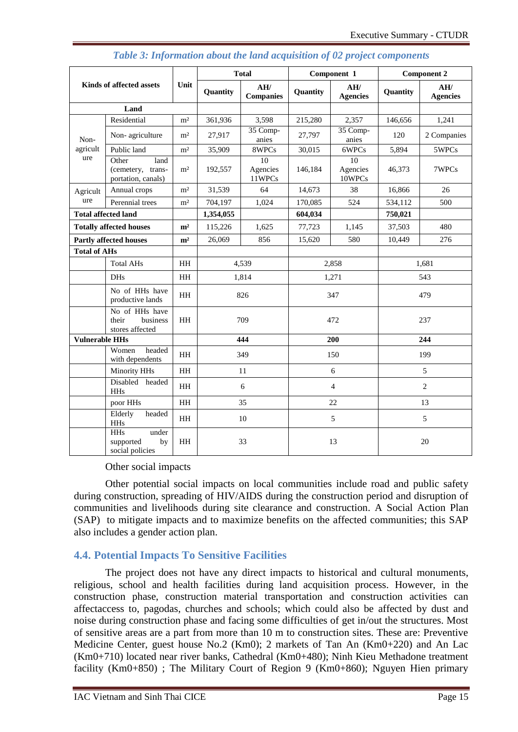<span id="page-14-1"></span>

| <b>Kinds of affected assets</b> |                                                           | Unit           | <b>Total</b> |                          | Component 1    |                          | <b>Component 2</b> |                        |
|---------------------------------|-----------------------------------------------------------|----------------|--------------|--------------------------|----------------|--------------------------|--------------------|------------------------|
|                                 |                                                           |                | Quantity     | AH/<br><b>Companies</b>  | Quantity       | AH/<br><b>Agencies</b>   | Quantity           | AH/<br><b>Agencies</b> |
|                                 | Land                                                      |                |              |                          |                |                          |                    |                        |
|                                 | Residential                                               | m <sup>2</sup> | 361,936      | 3,598                    | 215,280        | 2,357                    | 146,656            | 1,241                  |
| Non-                            | Non-agriculture                                           | m <sup>2</sup> | 27,917       | 35 Comp-<br>anies        | 27,797         | 35 Comp-<br>anies        | 120                | 2 Companies            |
| agricult                        | Public land                                               | m <sup>2</sup> | 35,909       | 8WPCs                    | 30,015         | 6WPCs                    | 5,894              | 5WPCs                  |
| ure                             | Other<br>land<br>(cemetery, trans-<br>portation, canals)  | m <sup>2</sup> | 192,557      | 10<br>Agencies<br>11WPCs | 146,184        | 10<br>Agencies<br>10WPCs | 46,373             | 7WPCs                  |
| Agricult                        | Annual crops                                              | m <sup>2</sup> | 31,539       | 64                       | 14,673         | 38                       | 16,866             | 26                     |
| ure                             | Perennial trees                                           | m <sup>2</sup> | 704,197      | 1,024                    | 170,085        | 524                      | 534,112            | 500                    |
|                                 | <b>Total affected land</b>                                |                | 1,354,055    |                          | 604,034        |                          | 750,021            |                        |
|                                 | <b>Totally affected houses</b>                            | m <sup>2</sup> | 115,226      | 1,625                    | 77,723         | 1,145                    | 37,503             | 480                    |
|                                 | <b>Partly affected houses</b>                             | m <sup>2</sup> | 26,069       | 856                      | 15,620         | 580                      | 10,449             | 276                    |
| <b>Total of AHs</b>             |                                                           |                |              |                          |                |                          |                    |                        |
| <b>Total AHs</b>                |                                                           | <b>HH</b>      | 4,539        |                          | 2,858          |                          | 1.681              |                        |
| <b>DHs</b><br>HH                |                                                           | 1.814          |              | 1,271                    |                | 543                      |                    |                        |
|                                 | No of HHs have<br>productive lands                        | <b>HH</b>      | 826          |                          | 347            |                          | 479                |                        |
|                                 | No of HHs have<br>their<br>business<br>stores affected    | <b>HH</b>      | 709          |                          | 472            |                          | 237                |                        |
| <b>Vulnerable HHs</b>           |                                                           |                | 444          |                          | 200            |                          | 244                |                        |
|                                 | headed<br>Women<br>with dependents                        | <b>HH</b>      | 349          |                          | 150            |                          | 199                |                        |
|                                 | Minority HHs                                              | <b>HH</b>      | 11           |                          | 6              |                          | 5                  |                        |
|                                 | Disabled headed<br><b>HHs</b>                             | HH             | 6            |                          | $\overline{4}$ |                          | $\overline{2}$     |                        |
|                                 | poor HHs                                                  | <b>HH</b>      | 35           |                          | 22             |                          | 13                 |                        |
|                                 | Elderly<br>headed<br><b>HHs</b>                           | <b>HH</b>      | 10           |                          | 5              |                          | 5                  |                        |
|                                 | <b>HHs</b><br>under<br>supported<br>by<br>social policies | <b>HH</b>      | 33           |                          | 13             |                          | 20                 |                        |

### *Table 3: Information about the land acquisition of 02 project components*

#### Other social impacts

Other potential social impacts on local communities include road and public safety during construction, spreading of HIV/AIDS during the construction period and disruption of communities and livelihoods during site clearance and construction. A Social Action Plan (SAP) to mitigate impacts and to maximize benefits on the affected communities; this SAP also includes a gender action plan.

# <span id="page-14-0"></span>**4.4. Potential Impacts To Sensitive Facilities**

The project does not have any direct impacts to historical and cultural monuments, religious, school and health facilities during land acquisition process. However, in the construction phase, construction material transportation and construction activities can affectaccess to, pagodas, churches and schools; which could also be affected by dust and noise during construction phase and facing some difficulties of get in/out the structures. Most of sensitive areas are a part from more than 10 m to construction sites. These are: Preventive Medicine Center, guest house No.2 (Km0); 2 markets of Tan An (Km0+220) and An Lac (Km0+710) located near river banks, Cathedral (Km0+480); Ninh Kieu Methadone treatment facility (Km0+850); The Military Court of Region 9 (Km0+860); Nguyen Hien primary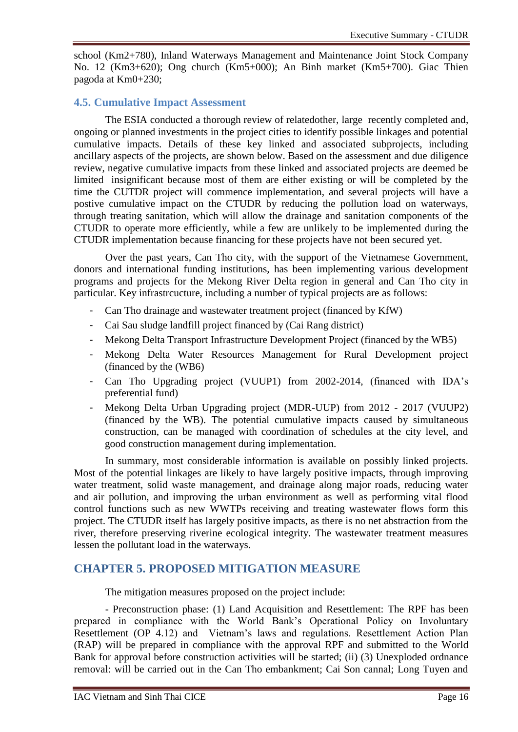school (Km2+780), Inland Waterways Management and Maintenance Joint Stock Company No. 12 (Km3+620); Ong church (Km5+000); An Binh market (Km5+700). Giac Thien pagoda at Km0+230;

# <span id="page-15-0"></span>**4.5. Cumulative Impact Assessment**

The ESIA conducted a thorough review of relatedother, large recently completed and, ongoing or planned investments in the project cities to identify possible linkages and potential cumulative impacts. Details of these key linked and associated subprojects, including ancillary aspects of the projects, are shown below. Based on the assessment and due diligence review, negative cumulative impacts from these linked and associated projects are deemed be limited insignificant because most of them are either existing or will be completed by the time the CUTDR project will commence implementation, and several projects will have a postive cumulative impact on the CTUDR by reducing the pollution load on waterways, through treating sanitation, which will allow the drainage and sanitation components of the CTUDR to operate more efficiently, while a few are unlikely to be implemented during the CTUDR implementation because financing for these projects have not been secured yet.

Over the past years, Can Tho city, with the support of the Vietnamese Government, donors and international funding institutions, has been implementing various development programs and projects for the Mekong River Delta region in general and Can Tho city in particular. Key infrastrcucture, including a number of typical projects are as follows:

- Can Tho drainage and wastewater treatment project (financed by KfW)
- Cai Sau sludge landfill project financed by (Cai Rang district)
- Mekong Delta Transport Infrastructure Development Project (financed by the WB5)
- Mekong Delta Water Resources Management for Rural Development project (financed by the (WB6)
- Can Tho Upgrading project (VUUP1) from 2002-2014, (financed with IDA's preferential fund)
- Mekong Delta Urban Upgrading project (MDR-UUP) from 2012 2017 (VUUP2) (financed by the WB). The potential cumulative impacts caused by simultaneous construction, can be managed with coordination of schedules at the city level, and good construction management during implementation.

In summary, most considerable information is available on possibly linked projects. Most of the potential linkages are likely to have largely positive impacts, through improving water treatment, solid waste management, and drainage along major roads, reducing water and air pollution, and improving the urban environment as well as performing vital flood control functions such as new WWTPs receiving and treating wastewater flows form this project. The CTUDR itself has largely positive impacts, as there is no net abstraction from the river, therefore preserving riverine ecological integrity. The wastewater treatment measures lessen the pollutant load in the waterways.

# <span id="page-15-1"></span>**CHAPTER 5. PROPOSED MITIGATION MEASURE**

The mitigation measures proposed on the project include:

- Preconstruction phase: (1) Land Acquisition and Resettlement: The RPF has been prepared in compliance with the World Bank's Operational Policy on Involuntary Resettlement (OP 4.12) and Vietnam's laws and regulations. Resettlement Action Plan (RAP) will be prepared in compliance with the approval RPF and submitted to the World Bank for approval before construction activities will be started; (ii) (3) Unexploded ordnance removal: will be carried out in the Can Tho embankment; Cai Son cannal; Long Tuyen and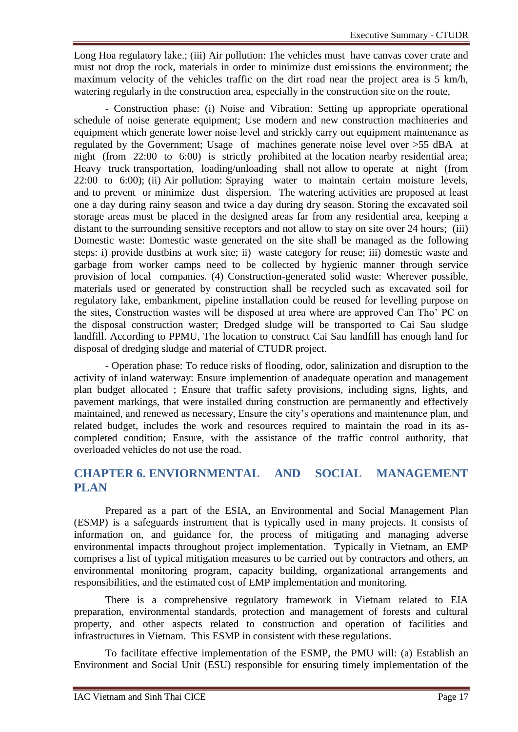Long Hoa regulatory lake.; (iii) Air pollution: The vehicles must have canvas cover crate and must not drop the rock, materials in order to minimize dust emissions the environment; the maximum velocity of the vehicles traffic on the dirt road near the project area is 5 km/h, watering regularly in the construction area, especially in the construction site on the route,

- Construction phase: (i) Noise and Vibration: Setting up appropriate operational schedule of noise generate equipment; Use modern and new construction machineries and equipment which generate lower noise level and strickly carry out equipment maintenance as regulated by the Government; Usage of machines generate noise level over >55 dBA at night (from 22:00 to 6:00) is strictly prohibited at the location nearby residential area; Heavy truck transportation, loading/unloading shall not allow to operate at night (from 22:00 to 6:00); (ii) Air pollution: Spraying water to maintain certain moisture levels, and to prevent or minimize dust dispersion. The watering activities are proposed at least one a day during rainy season and twice a day during dry season. Storing the excavated soil storage areas must be placed in the designed areas far from any residential area, keeping a distant to the surrounding sensitive receptors and not allow to stay on site over 24 hours; (iii) Domestic waste: Domestic waste generated on the site shall be managed as the following steps: i) provide dustbins at work site; ii) waste category for reuse; iii) domestic waste and garbage from worker camps need to be collected by hygienic manner through service provision of local companies. (4) Construction-generated solid waste: Wherever possible, materials used or generated by construction shall be recycled such as excavated soil for regulatory lake, embankment, pipeline installation could be reused for levelling purpose on the sites, Construction wastes will be disposed at area where are approved Can Tho' PC on the disposal construction waster; Dredged sludge will be transported to Cai Sau sludge landfill. According to PPMU, The location to construct Cai Sau landfill has enough land for disposal of dredging sludge and material of CTUDR project.

- Operation phase: To reduce risks of flooding, odor, salinization and disruption to the activity of inland waterway: Ensure implemention of anadequate operation and management plan budget allocated ; Ensure that traffic safety provisions, including signs, lights, and pavement markings, that were installed during construction are permanently and effectively maintained, and renewed as necessary, Ensure the city's operations and maintenance plan, and related budget, includes the work and resources required to maintain the road in its ascompleted condition; Ensure, with the assistance of the traffic control authority, that overloaded vehicles do not use the road.

# <span id="page-16-0"></span>**CHAPTER 6. ENVIORNMENTAL AND SOCIAL MANAGEMENT PLAN**

Prepared as a part of the ESIA, an Environmental and Social Management Plan (ESMP) is a safeguards instrument that is typically used in many projects. It consists of information on, and guidance for, the process of mitigating and managing adverse environmental impacts throughout project implementation. Typically in Vietnam, an EMP comprises a list of typical mitigation measures to be carried out by contractors and others, an environmental monitoring program, capacity building, organizational arrangements and responsibilities, and the estimated cost of EMP implementation and monitoring.

There is a comprehensive regulatory framework in Vietnam related to EIA preparation, environmental standards, protection and management of forests and cultural property, and other aspects related to construction and operation of facilities and infrastructures in Vietnam. This ESMP in consistent with these regulations.

To facilitate effective implementation of the ESMP, the PMU will: (a) Establish an Environment and Social Unit (ESU) responsible for ensuring timely implementation of the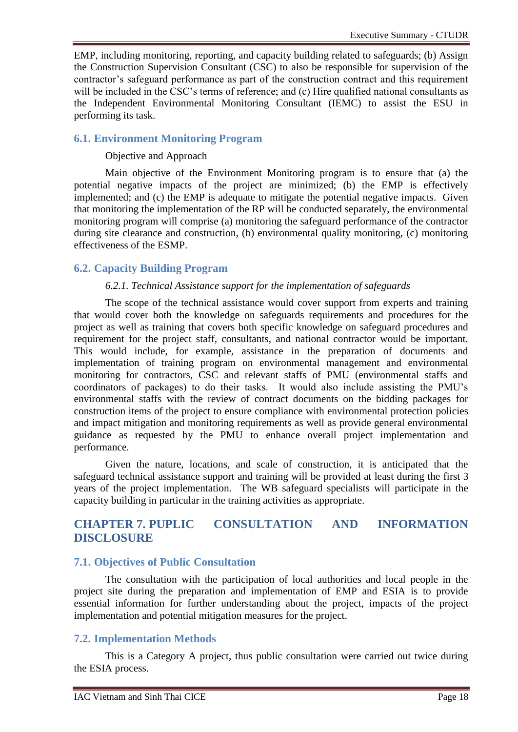EMP, including monitoring, reporting, and capacity building related to safeguards; (b) Assign the Construction Supervision Consultant (CSC) to also be responsible for supervision of the contractor's safeguard performance as part of the construction contract and this requirement will be included in the CSC's terms of reference; and (c) Hire qualified national consultants as the Independent Environmental Monitoring Consultant (IEMC) to assist the ESU in performing its task.

### <span id="page-17-0"></span>**6.1. Environment Monitoring Program**

#### Objective and Approach

Main objective of the Environment Monitoring program is to ensure that (a) the potential negative impacts of the project are minimized; (b) the EMP is effectively implemented; and (c) the EMP is adequate to mitigate the potential negative impacts. Given that monitoring the implementation of the RP will be conducted separately, the environmental monitoring program will comprise (a) monitoring the safeguard performance of the contractor during site clearance and construction, (b) environmental quality monitoring, (c) monitoring effectiveness of the ESMP.

# <span id="page-17-1"></span>**6.2. Capacity Building Program**

#### *6.2.1. Technical Assistance support for the implementation of safeguards*

The scope of the technical assistance would cover support from experts and training that would cover both the knowledge on safeguards requirements and procedures for the project as well as training that covers both specific knowledge on safeguard procedures and requirement for the project staff, consultants, and national contractor would be important. This would include, for example, assistance in the preparation of documents and implementation of training program on environmental management and environmental monitoring for contractors, CSC and relevant staffs of PMU (environmental staffs and coordinators of packages) to do their tasks. It would also include assisting the PMU's environmental staffs with the review of contract documents on the bidding packages for construction items of the project to ensure compliance with environmental protection policies and impact mitigation and monitoring requirements as well as provide general environmental guidance as requested by the PMU to enhance overall project implementation and performance.

Given the nature, locations, and scale of construction, it is anticipated that the safeguard technical assistance support and training will be provided at least during the first 3 years of the project implementation. The WB safeguard specialists will participate in the capacity building in particular in the training activities as appropriate.

# <span id="page-17-2"></span>**CHAPTER 7. PUPLIC CONSULTATION AND INFORMATION DISCLOSURE**

#### <span id="page-17-3"></span>**7.1. Objectives of Public Consultation**

The consultation with the participation of local authorities and local people in the project site during the preparation and implementation of EMP and ESIA is to provide essential information for further understanding about the project, impacts of the project implementation and potential mitigation measures for the project.

# <span id="page-17-4"></span>**7.2. Implementation Methods**

This is a Category A project, thus public consultation were carried out twice during the ESIA process.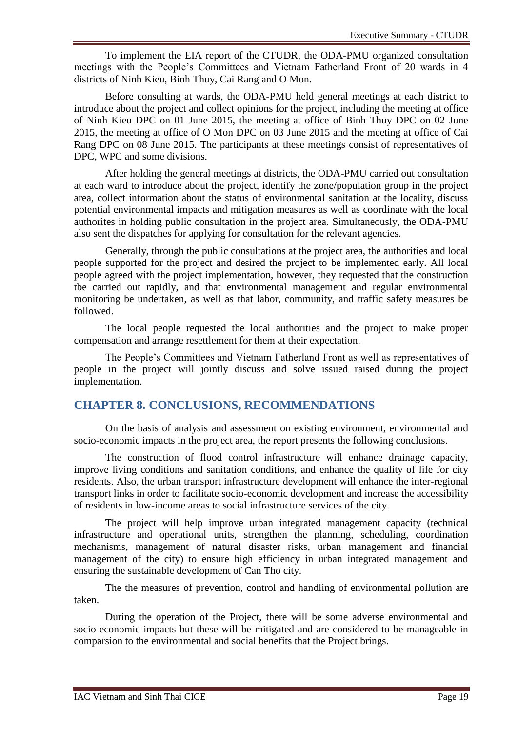To implement the EIA report of the CTUDR, the ODA-PMU organized consultation meetings with the People's Committees and Vietnam Fatherland Front of 20 wards in 4 districts of Ninh Kieu, Binh Thuy, Cai Rang and O Mon.

Before consulting at wards, the ODA-PMU held general meetings at each district to introduce about the project and collect opinions for the project, including the meeting at office of Ninh Kieu DPC on 01 June 2015, the meeting at office of Binh Thuy DPC on 02 June 2015, the meeting at office of O Mon DPC on 03 June 2015 and the meeting at office of Cai Rang DPC on 08 June 2015. The participants at these meetings consist of representatives of DPC, WPC and some divisions.

After holding the general meetings at districts, the ODA-PMU carried out consultation at each ward to introduce about the project, identify the zone/population group in the project area, collect information about the status of environmental sanitation at the locality, discuss potential environmental impacts and mitigation measures as well as coordinate with the local authorites in holding public consultation in the project area. Simultaneously, the ODA-PMU also sent the dispatches for applying for consultation for the relevant agencies.

Generally, through the public consultations at the project area, the authorities and local people supported for the project and desired the project to be implemented early. All local people agreed with the project implementation, however, they requested that the construction tbe carried out rapidly, and that environmental management and regular environmental monitoring be undertaken, as well as that labor, community, and traffic safety measures be followed.

The local people requested the local authorities and the project to make proper compensation and arrange resettlement for them at their expectation.

The People's Committees and Vietnam Fatherland Front as well as representatives of people in the project will jointly discuss and solve issued raised during the project implementation.

# <span id="page-18-0"></span>**CHAPTER 8. CONCLUSIONS, RECOMMENDATIONS**

On the basis of analysis and assessment on existing environment, environmental and socio-economic impacts in the project area, the report presents the following conclusions.

The construction of flood control infrastructure will enhance drainage capacity, improve living conditions and sanitation conditions, and enhance the quality of life for city residents. Also, the urban transport infrastructure development will enhance the inter-regional transport links in order to facilitate socio-economic development and increase the accessibility of residents in low-income areas to social infrastructure services of the city.

The project will help improve urban integrated management capacity (technical infrastructure and operational units, strengthen the planning, scheduling, coordination mechanisms, management of natural disaster risks, urban management and financial management of the city) to ensure high efficiency in urban integrated management and ensuring the sustainable development of Can Tho city.

The the measures of prevention, control and handling of environmental pollution are taken.

During the operation of the Project, there will be some adverse environmental and socio-economic impacts but these will be mitigated and are considered to be manageable in comparsion to the environmental and social benefits that the Project brings.